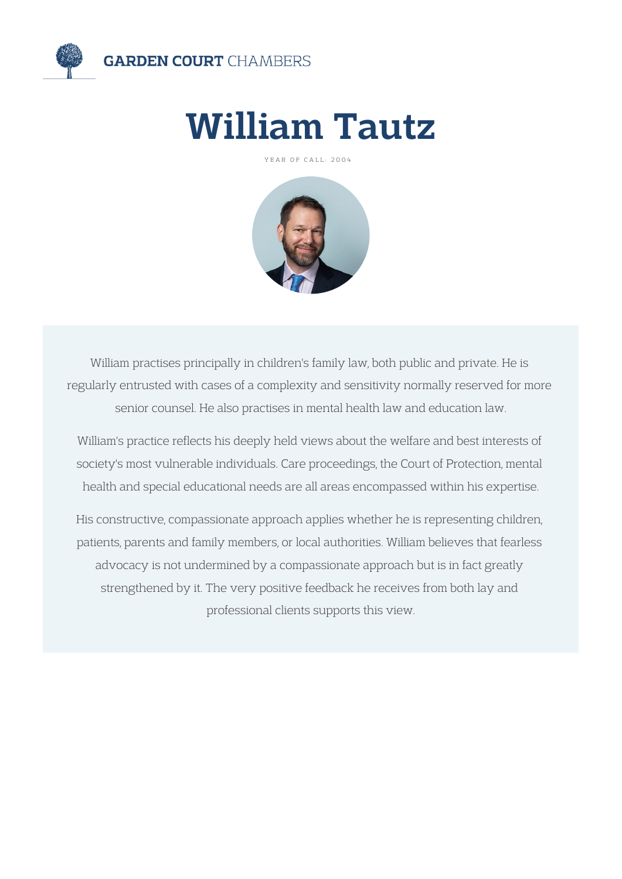

# William Tautz

YEAR OF CALL: 2004



William practises principally in children's family law, both public and private. He is regularly entrusted with cases of a complexity and sensitivity normally reserved for more senior counsel. He also practises in mental health law and education law.

William's practice reflects his deeply held views about the welfare and best interests of society's most vulnerable individuals. Care proceedings, the Court of Protection, mental health and special educational needs are all areas encompassed within his expertise.

His constructive, compassionate approach applies whether he is representing children, patients, parents and family members, or local authorities. William believes that fearless advocacy is not undermined by a compassionate approach but is in fact greatly strengthened by it. The very positive feedback he receives from both lay and professional clients supports this view.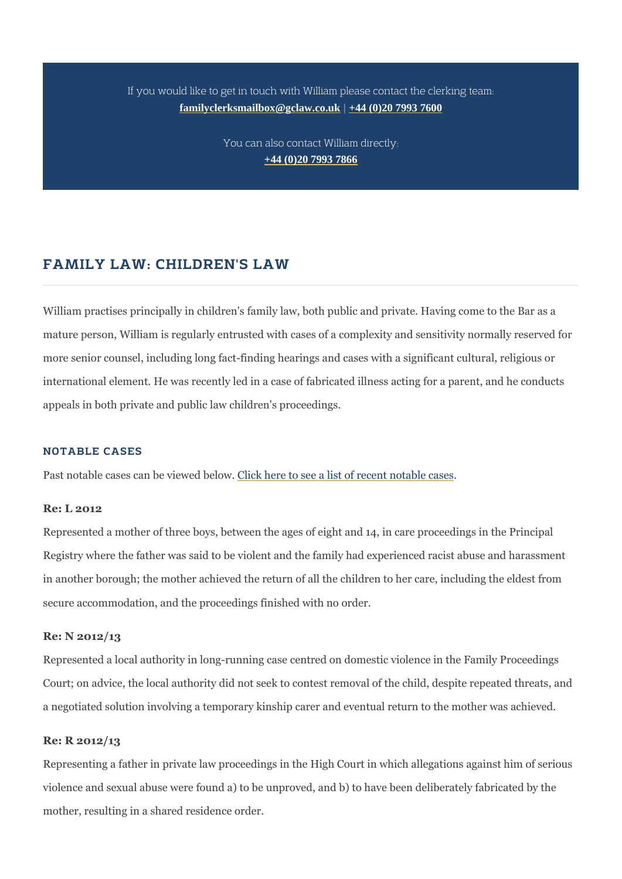## If you would like to get in touch with William please conta [familyclerksmailbox@gclaw.co.uk](mailto:familyclerksmailbox@gclaw.co.uk)[|+44 \(0\)20 7993 760](tel:+44 (0)20 7993 7600)0

You can also contact William directly: [+44 \(0\)20 7993 786](tel:+44 (0)20 7993 7866)6

## FAMILY LAW: CHILDREN'S LAW

William practises principally in children's family law, both public and priv mature person, William is regularly entrusted with cases of a complexity and sensity  $\alpha$ more senior counsel, including long fact-finding hearings and cases with international element. He was recently led in a case of fabricated illness appeals in both private and public law children's proceedings.

#### NOTABLE CASES

Past notable cases can b@livike wheed ebelowee a list of recent notable cases

#### Re: L 2012

Represented a mother of three boys, between the ages of eight and 14, in Registry where the father was said to be violent and the family had exper in another borough; the mother achieved the return of all the children to secure accommodation, and the proceedings finished with no order.

#### Re: N 2012/13

Represented a local authority in long-running case centred on domestic v Court; on advice, the local authority did not seek to contest removal of th a negotiated solution involving a temporary kinship carer and eventual re

#### Re: R 2012/13

Representing a father in private law proceedings in the High Court in whi violence and sexual abuse were found a) to be unproved, and b) to have b mother, resulting in a shared residence order.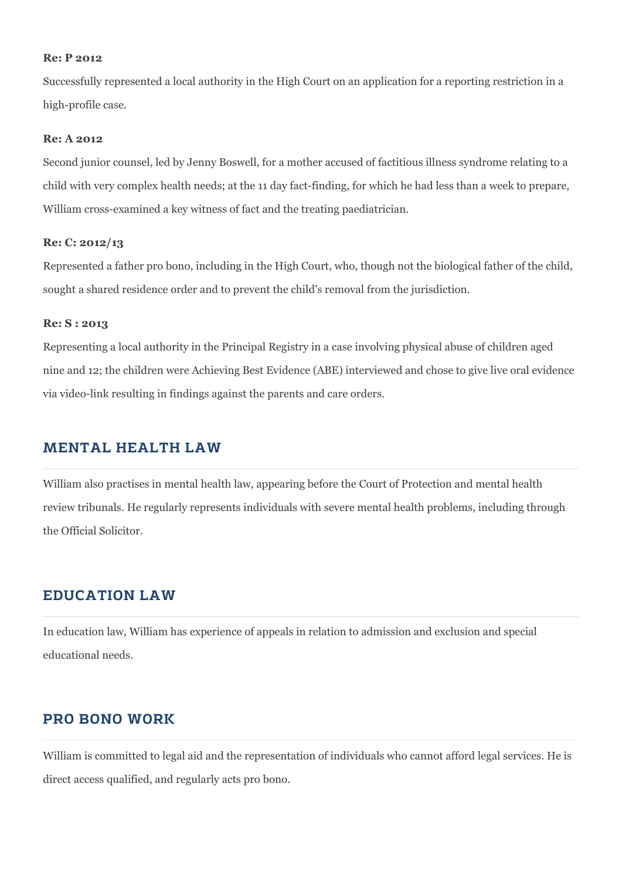#### **Re: P 2012**

Successfully represented a local authority in the High Court on an application for a reporting restriction in a high-profile case.

#### **Re: A 2012**

Second junior counsel, led by Jenny Boswell, for a mother accused of factitious illness syndrome relating to a child with very complex health needs; at the 11 day fact-finding, for which he had less than a week to prepare, William cross-examined a key witness of fact and the treating paediatrician.

#### **Re: C: 2012/13**

Represented a father pro bono, including in the High Court, who, though not the biological father of the child, sought a shared residence order and to prevent the child's removal from the jurisdiction.

#### **Re: S : 2013**

Representing a local authority in the Principal Registry in a case involving physical abuse of children aged nine and 12; the children were Achieving Best Evidence (ABE) interviewed and chose to give live oral evidence via video-link resulting in findings against the parents and care orders.

## MENTAL HEALTH LAW

William also practises in mental health law, appearing before the Court of Protection and mental health review tribunals. He regularly represents individuals with severe mental health problems, including through the Official Solicitor.

### EDUCATION LAW

In education law, William has experience of appeals in relation to admission and exclusion and special educational needs.

## PRO BONO WORK

William is committed to legal aid and the representation of individuals who cannot afford legal services. He is direct access qualified, and regularly acts pro bono.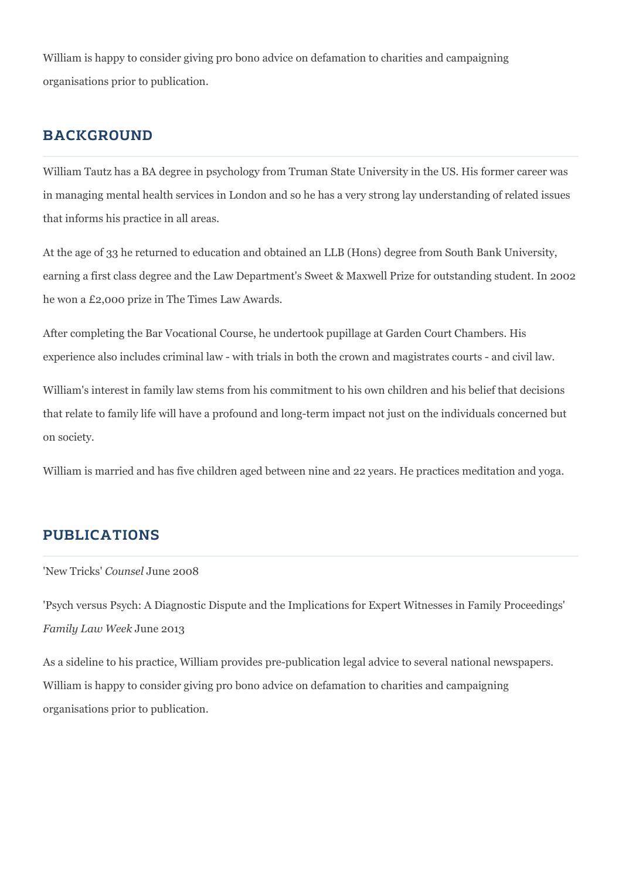William is happy to consider giving pro bono advice on defamation to charities and campaigning organisations prior to publication.

## **BACKGROUND**

William Tautz has a BA degree in psychology from Truman State University in the US. His former career was in managing mental health services in London and so he has a very strong lay understanding of related issues that informs his practice in all areas.

At the age of 33 he returned to education and obtained an LLB (Hons) degree from South Bank University, earning a first class degree and the Law Department's Sweet & Maxwell Prize for outstanding student. In 2002 he won a £2,000 prize in The Times Law Awards.

After completing the Bar Vocational Course, he undertook pupillage at Garden Court Chambers. His experience also includes criminal law - with trials in both the crown and magistrates courts - and civil law.

William's interest in family law stems from his commitment to his own children and his belief that decisions that relate to family life will have a profound and long-term impact not just on the individuals concerned but on society.

William is married and has five children aged between nine and 22 years. He practices meditation and yoga.

## PUBLICATIONS

'New Tricks' *Counsel* June 2008

'Psych versus Psych: A Diagnostic Dispute and the Implications for Expert Witnesses in Family Proceedings' *Family Law Week* June 2013

As a sideline to his practice, William provides pre-publication legal advice to several national newspapers. William is happy to consider giving pro bono advice on defamation to charities and campaigning organisations prior to publication.